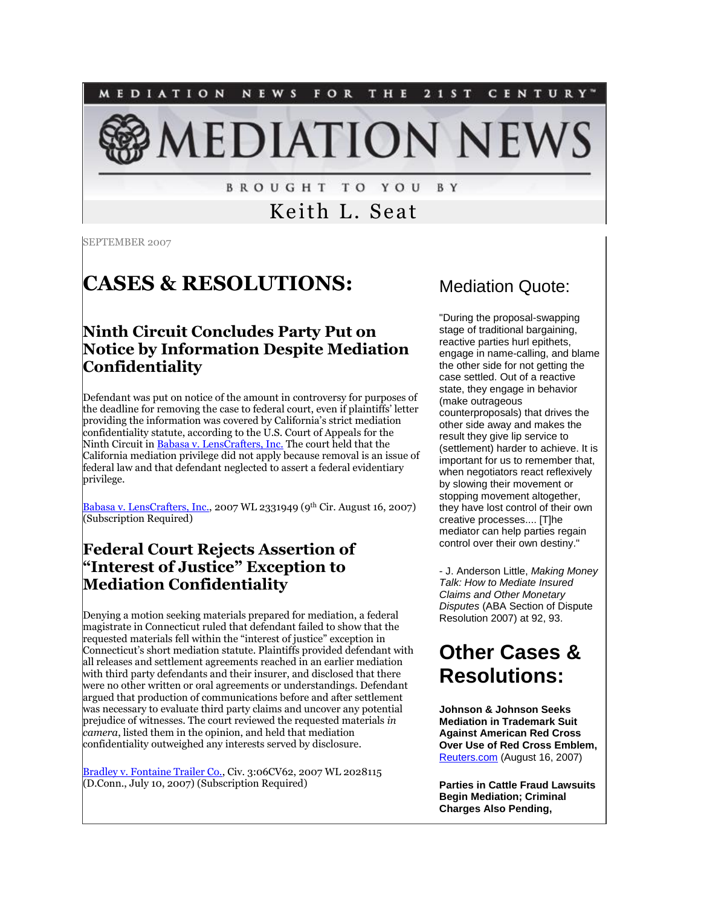

**BROUGHT TO YOU** B Y

Keith L. Seat

SEPTEMBER 2007

## **CASES & RESOLUTIONS:**

#### **Ninth Circuit Concludes Party Put on Notice by Information Despite Mediation Confidentiality**

Defendant was put on notice of the amount in controversy for purposes of the deadline for removing the case to federal court, even if plaintiffs' letter providing the information was covered by California's strict mediation confidentiality statute, according to the U.S. Court of Appeals for the Ninth Circuit i[n Babasa v. LensCrafters, Inc.](http://tinyurl.com/275vkt) The court held that the California mediation privilege did not apply because removal is an issue of federal law and that defendant neglected to assert a federal evidentiary privilege.

[Babasa v. LensCrafters, Inc.,](http://tinyurl.com/275vkt) 2007 WL 2331949 (9<sup>th</sup> Cir. August 16, 2007) (Subscription Required)

#### **Federal Court Rejects Assertion of "Interest of Justice" Exception to Mediation Confidentiality**

Denying a motion seeking materials prepared for mediation, a federal magistrate in Connecticut ruled that defendant failed to show that the requested materials fell within the "interest of justice" exception in Connecticut's short mediation statute. Plaintiffs provided defendant with all releases and settlement agreements reached in an earlier mediation with third party defendants and their insurer, and disclosed that there were no other written or oral agreements or understandings. Defendant argued that production of communications before and after settlement was necessary to evaluate third party claims and uncover any potential prejudice of witnesses. The court reviewed the requested materials *in camera*, listed them in the opinion, and held that mediation confidentiality outweighed any interests served by disclosure.

[Bradley v. Fontaine Trailer Co.,](http://tinyurl.com/yq7ffu) Civ. 3:06CV62, 2007 WL 2028115 (D.Conn., July 10, 2007) (Subscription Required)

#### Mediation Quote:

"During the proposal-swapping stage of traditional bargaining. reactive parties hurl epithets, engage in name-calling, and blame the other side for not getting the case settled. Out of a reactive state, they engage in behavior (make outrageous counterproposals) that drives the other side away and makes the result they give lip service to (settlement) harder to achieve. It is important for us to remember that, when negotiators react reflexively by slowing their movement or stopping movement altogether, they have lost control of their own creative processes.... [T]he mediator can help parties regain control over their own destiny."

- J. Anderson Little, *Making Money Talk: How to Mediate Insured Claims and Other Monetary Disputes* (ABA Section of Dispute Resolution 2007) at 92, 93.

## **Other Cases & Resolutions:**

**Johnson & Johnson Seeks Mediation in Trademark Suit Against American Red Cross Over Use of Red Cross Emblem,** [Reuters.com](http://tinyurl.com/2ozqqu) (August 16, 2007)

**Parties in Cattle Fraud Lawsuits Begin Mediation; Criminal Charges Also Pending,**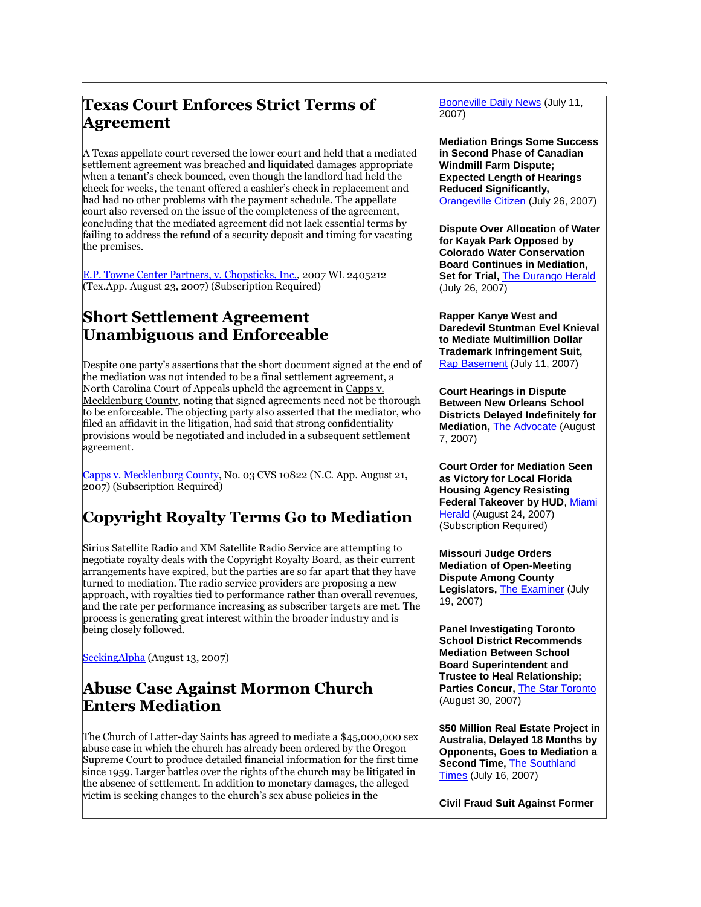#### **Texas Court Enforces Strict Terms of Agreement**

A Texas appellate court reversed the lower court and held that a mediated settlement agreement was breached and liquidated damages appropriate when a tenant's check bounced, even though the landlord had held the check for weeks, the tenant offered a cashier's check in replacement and had had no other problems with the payment schedule. The appellate court also reversed on the issue of the completeness of the agreement, concluding that the mediated agreement did not lack essential terms by failing to address the refund of a security deposit and timing for vacating the premises.

[E.P. Towne Center Partners, v. Chopsticks, Inc.,](http://tinyurl.com/262gy3) 2007 WL 2405212 (Tex.App. August 23, 2007) (Subscription Required)

#### **Short Settlement Agreement Unambiguous and Enforceable**

Despite one party's assertions that the short document signed at the end of the mediation was not intended to be a final settlement agreement, a North Carolina Court of Appeals upheld the agreement in Capps v. Mecklenburg County, noting that signed agreements need not be thorough to be enforceable. The objecting party also asserted that the mediator, who filed an affidavit in the litigation, had said that strong confidentiality provisions would be negotiated and included in a subsequent settlement agreement.

[Capps v. Mecklenburg County,](http://tinyurl.com/2cnakr) No. 03 CVS 10822 (N.C. App. August 21, 2007) (Subscription Required)

## **Copyright Royalty Terms Go to Mediation**

Sirius Satellite Radio and XM Satellite Radio Service are attempting to negotiate royalty deals with the Copyright Royalty Board, as their current arrangements have expired, but the parties are so far apart that they have turned to mediation. The radio service providers are proposing a new approach, with royalties tied to performance rather than overall revenues, and the rate per performance increasing as subscriber targets are met. The process is generating great interest within the broader industry and is being closely followed.

[SeekingAlpha](http://media.seekingalpha.com/article/44265) (August 13, 2007)

#### **Abuse Case Against Mormon Church Enters Mediation**

The Church of Latter-day Saints has agreed to mediate a \$45,000,000 sex abuse case in which the church has already been ordered by the Oregon Supreme Court to produce detailed financial information for the first time since 1959. Larger battles over the rights of the church may be litigated in the absence of settlement. In addition to monetary damages, the alleged victim is seeking changes to the church's sex abuse policies in the

[Booneville Daily News](http://tinyurl.com/36anso) (July 11, 2007)

**Mediation Brings Some Success in Second Phase of Canadian Windmill Farm Dispute; Expected Length of Hearings Reduced Significantly,** [Orangeville Citizen](http://www.citizen.on.ca/news/2007/0726/Editorial/020.html) (July 26, 2007)

**Dispute Over Allocation of Water for Kayak Park Opposed by Colorado Water Conservation Board Continues in Mediation, Set for Trial,** [The Durango Herald](http://tinyurl.com/2macnp) (July 26, 2007)

**Rapper Kanye West and Daredevil Stuntman Evel Knieval to Mediate Multimillion Dollar Trademark Infringement Suit,** [Rap Basement](http://tinyurl.com/3xhj8f) (July 11, 2007)

**Court Hearings in Dispute Between New Orleans School Districts Delayed Indefinitely for Mediation,** [The Advocate](http://www.2theadvocate.com/news/suburban/8957772.html) (August 7, 2007)

**Court Order for Mediation Seen as Victory for Local Florida Housing Agency Resisting Federal Takeover by HUD**, [Miami](http://tinyurl.com/2sx78h)  [Herald](http://tinyurl.com/2sx78h) (August 24, 2007) (Subscription Required)

**Missouri Judge Orders Mediation of Open-Meeting Dispute Among County Legislators,** [The Examiner](http://www.examiner.net/stories/071707/new_174028996.shtml) (July 19, 2007)

**Panel Investigating Toronto School District Recommends Mediation Between School Board Superintendent and Trustee to Heal Relationship; Parties Concur,** [The Star Toronto](http://www.thestar.com/News/article/251299) (August 30, 2007)

**\$50 Million Real Estate Project in Australia, Delayed 18 Months by Opponents, Goes to Mediation a Second Time,** [The Southland](http://www.stuff.co.nz/stuff/southlandtimes/4128915a22356.html)  [Times](http://www.stuff.co.nz/stuff/southlandtimes/4128915a22356.html) (July 16, 2007)

**Civil Fraud Suit Against Former**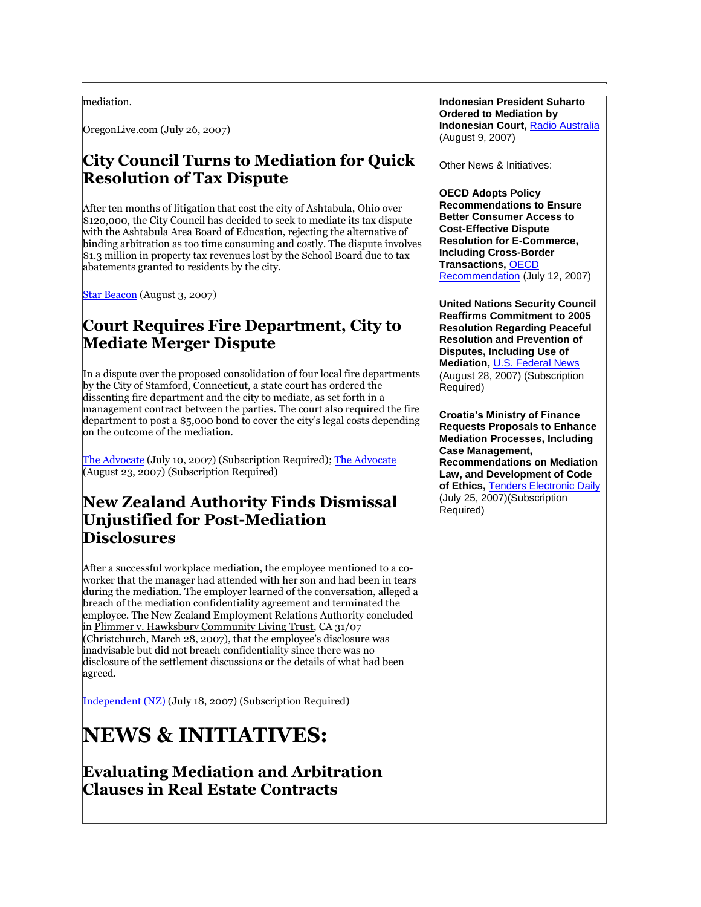mediation.

OregonLive.com (July 26, 2007)

#### **City Council Turns to Mediation for Quick Resolution of Tax Dispute**

After ten months of litigation that cost the city of Ashtabula, Ohio over \$120,000, the City Council has decided to seek to mediate its tax dispute with the Ashtabula Area Board of Education, rejecting the alternative of binding arbitration as too time consuming and costly. The dispute involves \$1.3 million in property tax revenues lost by the School Board due to tax abatements granted to residents by the city.

[Star Beacon](http://www.starbeacon.com/local/local_story_215072333) (August 3, 2007)

#### **Court Requires Fire Department, City to Mediate Merger Dispute**

In a dispute over the proposed consolidation of four local fire departments by the City of Stamford, Connecticut, a state court has ordered the dissenting fire department and the city to mediate, as set forth in a management contract between the parties. The court also required the fire department to post a \$5,000 bond to cover the city's legal costs depending on the outcome of the mediation.

[The Advocate](http://tinyurl.com/2fle73) (July 10, 2007) (Subscription Required)[; The Advocate](http://tinyurl.com/27u4xj) (August 23, 2007) (Subscription Required)

#### **New Zealand Authority Finds Dismissal Unjustified for Post-Mediation Disclosures**

After a successful workplace mediation, the employee mentioned to a coworker that the manager had attended with her son and had been in tears during the mediation. The employer learned of the conversation, alleged a breach of the mediation confidentiality agreement and terminated the employee. The New Zealand Employment Relations Authority concluded in Plimmer v. Hawksbury Community Living Trust, CA 31/07 (Christchurch, March 28, 2007), that the employee's disclosure was inadvisable but did not breach confidentiality since there was no disclosure of the settlement discussions or the details of what had been agreed.

[Independent \(NZ\)](http://tinyurl.com/2z2m4e) (July 18, 2007) (Subscription Required)

# **NEWS & INITIATIVES:**

**Evaluating Mediation and Arbitration Clauses in Real Estate Contracts**

**Indonesian President Suharto Ordered to Mediation by Indonesian Court,** [Radio Australia](http://www.radioaustralia.net.au/news/stories/s2001196.htm) (August 9, 2007)

Other News & Initiatives:

**OECD Adopts Policy Recommendations to Ensure Better Consumer Access to Cost-Effective Dispute Resolution for E-Commerce, Including Cross-Border Transactions,** [OECD](http://www.oecd.org/dataoecd/43/50/38960101.pdf)  [Recommendation](http://www.oecd.org/dataoecd/43/50/38960101.pdf) (July 12, 2007)

**United Nations Security Council Reaffirms Commitment to 2005 Resolution Regarding Peaceful Resolution and Prevention of Disputes, Including Use of Mediation,** [U.S. Federal News](http://tinyurl.com/2zpue5) (August 28, 2007) (Subscription Required)

**Croatia's Ministry of Finance Requests Proposals to Enhance Mediation Processes, Including Case Management, Recommendations on Mediation Law, and Development of Code of Ethics,** [Tenders Electronic Daily](http://tinyurl.com/yver6f) (July 25, 2007)(Subscription Required)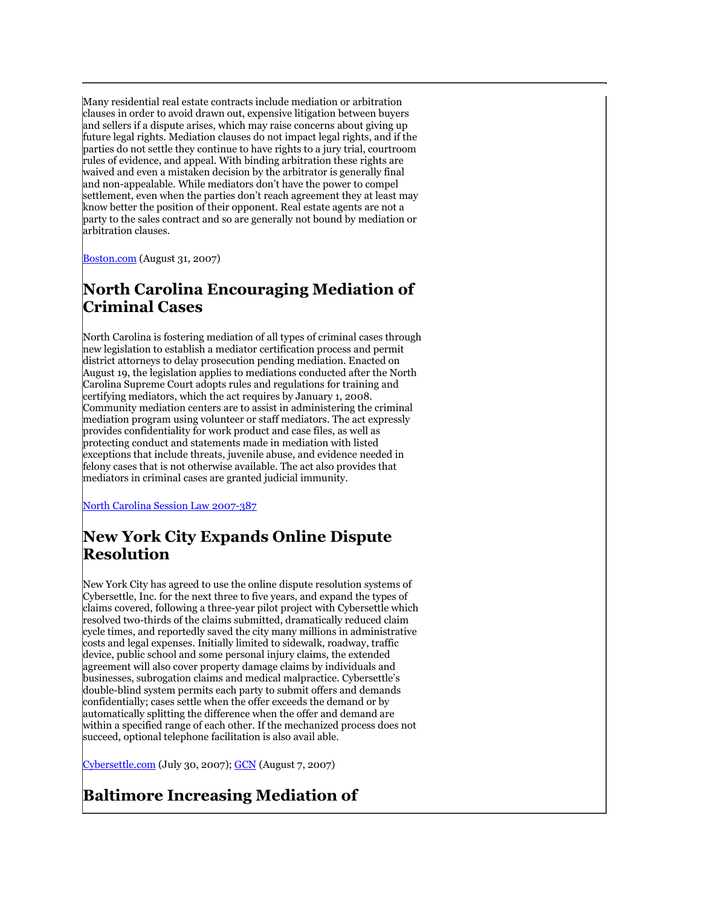Many residential real estate contracts include mediation or arbitration clauses in order to avoid drawn out, expensive litigation between buyers and sellers if a dispute arises, which may raise concerns about giving up future legal rights. Mediation clauses do not impact legal rights, and if the parties do not settle they continue to have rights to a jury trial, courtroom rules of evidence, and appeal. With binding arbitration these rights are waived and even a mistaken decision by the arbitrator is generally final and non-appealable. While mediators don't have the power to compel settlement, even when the parties don't reach agreement they at least may know better the position of their opponent. Real estate agents are not a party to the sales contract and so are generally not bound by mediation or arbitration clauses.

**[Boston.com](http://tinyurl.com/35l8ts)** (August 31, 2007)

#### **North Carolina Encouraging Mediation of Criminal Cases**

North Carolina is fostering mediation of all types of criminal cases through new legislation to establish a mediator certification process and permit district attorneys to delay prosecution pending mediation. Enacted on August 19, the legislation applies to mediations conducted after the North Carolina Supreme Court adopts rules and regulations for training and certifying mediators, which the act requires by January 1, 2008. Community mediation centers are to assist in administering the criminal mediation program using volunteer or staff mediators. The act expressly provides confidentiality for work product and case files, as well as protecting conduct and statements made in mediation with listed exceptions that include threats, juvenile abuse, and evidence needed in felony cases that is not otherwise available. The act also provides that mediators in criminal cases are granted judicial immunity.

[North Carolina Session Law 2007-387](http://tinyurl.com/yw95tz) 

#### **New York City Expands Online Dispute Resolution**

New York City has agreed to use the online dispute resolution systems of Cybersettle, Inc. for the next three to five years, and expand the types of claims covered, following a three-year pilot project with Cybersettle which resolved two-thirds of the claims submitted, dramatically reduced claim cycle times, and reportedly saved the city many millions in administrative costs and legal expenses. Initially limited to sidewalk, roadway, traffic device, public school and some personal injury claims, the extended agreement will also cover property damage claims by individuals and businesses, subrogation claims and medical malpractice. Cybersettle's double-blind system permits each party to submit offers and demands confidentially; cases settle when the offer exceeds the demand or by automatically splitting the difference when the offer and demand are within a specified range of each other. If the mechanized process does not succeed, optional telephone facilitation is also avail able.

[Cybersettle.com](http://www.cybersettle.com/info/news/pressreleases.aspx?id=36) (July 30, 2007); [GCN](http://www.gcn.com/print/26_21/44868-1.html) (August 7, 2007)

## **Baltimore Increasing Mediation of**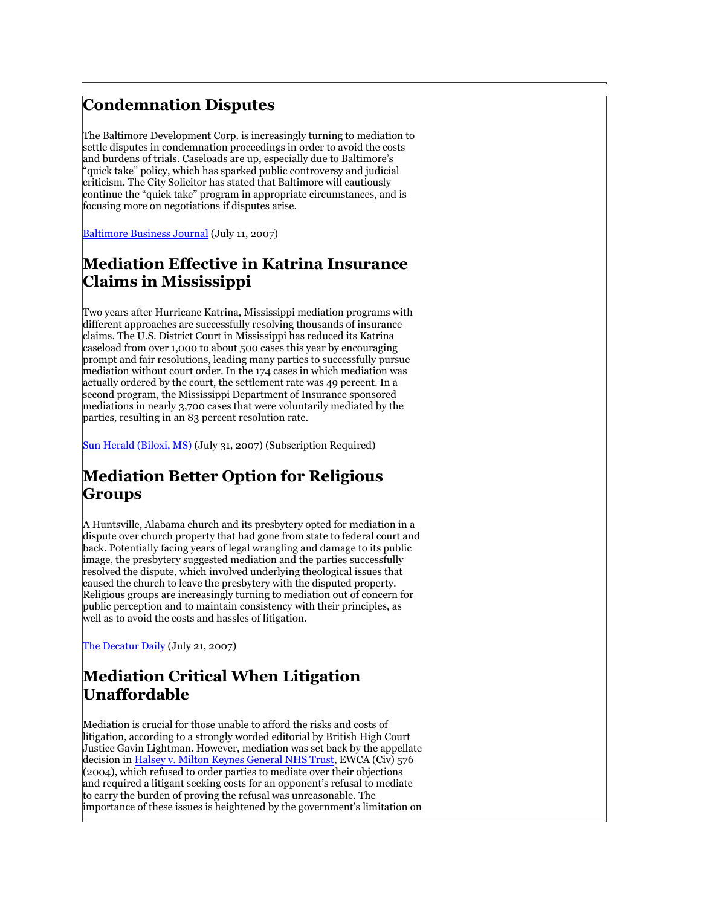#### **Condemnation Disputes**

The Baltimore Development Corp. is increasingly turning to mediation to settle disputes in condemnation proceedings in order to avoid the costs and burdens of trials. Caseloads are up, especially due to Baltimore's "quick take" policy, which has sparked public controversy and judicial criticism. The City Solicitor has stated that Baltimore will cautiously continue the "quick take" program in appropriate circumstances, and is focusing more on negotiations if disputes arise.

[Baltimore Business](http://baltimore.bizjournals.com/baltimore/stories/2007/07/09/daily21.html?jst=b_ln_hl) Journal (July 11, 2007)

#### **Mediation Effective in Katrina Insurance Claims in Mississippi**

Two years after Hurricane Katrina, Mississippi mediation programs with different approaches are successfully resolving thousands of insurance claims. The U.S. District Court in Mississippi has reduced its Katrina caseload from over 1,000 to about 500 cases this year by encouraging prompt and fair resolutions, leading many parties to successfully pursue mediation without court order. In the 174 cases in which mediation was actually ordered by the court, the settlement rate was 49 percent. In a second program, the Mississippi Department of Insurance sponsored mediations in nearly 3,700 cases that were voluntarily mediated by the parties, resulting in an 83 percent resolution rate.

[Sun Herald \(Biloxi, MS\)](http://tinyurl.com/yr6sck) (July 31, 2007) (Subscription Required)

#### **Mediation Better Option for Religious Groups**

A Huntsville, Alabama church and its presbytery opted for mediation in a dispute over church property that had gone from state to federal court and back. Potentially facing years of legal wrangling and damage to its public image, the presbytery suggested mediation and the parties successfully resolved the dispute, which involved underlying theological issues that caused the church to leave the presbytery with the disputed property. Religious groups are increasingly turning to mediation out of concern for public perception and to maintain consistency with their principles, as well as to avoid the costs and hassles of litigation.

[The Decatur Daily](http://www.decaturdaily.com/decaturdaily/religion/070721/med.shtml) (July 21, 2007)

### **Mediation Critical When Litigation Unaffordable**

Mediation is crucial for those unable to afford the risks and costs of litigation, according to a strongly worded editorial by British High Court Justice Gavin Lightman. However, mediation was set back by the appellate decision i[n Halsey v. Milton Keynes General NHS Trust,](http://www.hmcourts-service.gov.uk/judgmentsfiles/j2515/halsey-v-mkg.htm) EWCA (Civ) 576 (2004), which refused to order parties to mediate over their objections and required a litigant seeking costs for an opponent's refusal to mediate to carry the burden of proving the refusal was unreasonable. The importance of these issues is heightened by the government's limitation on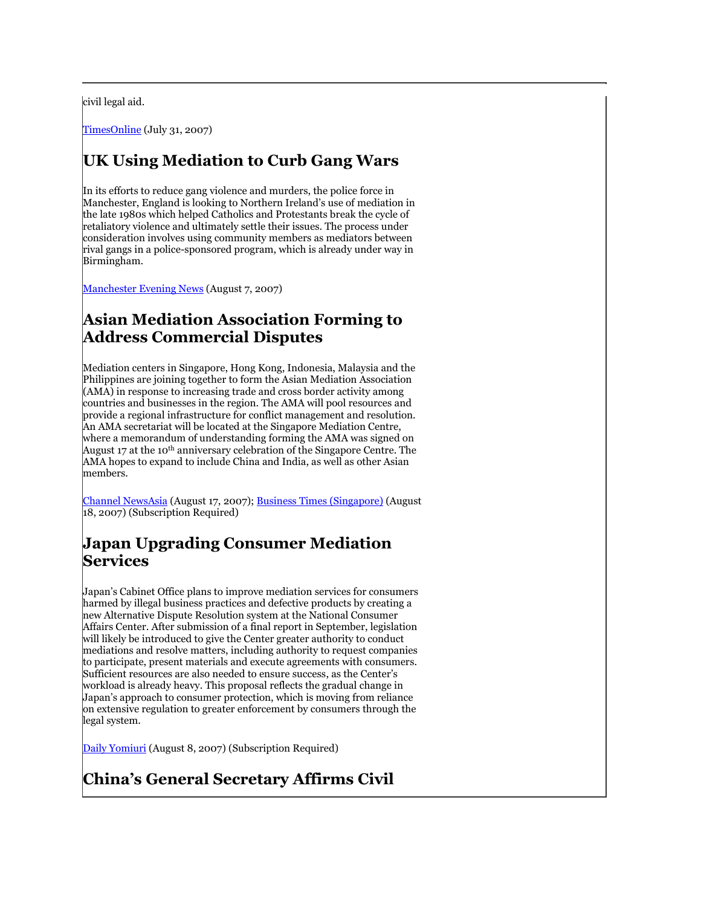civil legal aid.

[TimesOnline](http://business.timesonline.co.uk/tol/business/law/article2166092.ece) (July 31, 2007)

#### **UK Using Mediation to Curb Gang Wars**

In its efforts to reduce gang violence and murders, the police force in Manchester, England is looking to Northern Ireland's use of mediation in the late 1980s which helped Catholics and Protestants break the cycle of retaliatory violence and ultimately settle their issues. The process under consideration involves using community members as mediators between rival gangs in a police-sponsored program, which is already under way in Birmingham.

[Manchester Evening News](http://www.manchestereveningnews.co.uk/news/s/1012/1012980_cops_may_try_mediation.html) (August 7, 2007)

#### **Asian Mediation Association Forming to Address Commercial Disputes**

Mediation centers in Singapore, Hong Kong, Indonesia, Malaysia and the Philippines are joining together to form the Asian Mediation Association (AMA) in response to increasing trade and cross border activity among countries and businesses in the region. The AMA will pool resources and provide a regional infrastructure for conflict management and resolution. An AMA secretariat will be located at the Singapore Mediation Centre, where a memorandum of understanding forming the AMA was signed on August 17 at the 10<sup>th</sup> anniversary celebration of the Singapore Centre. The AMA hopes to expand to include China and India, as well as other Asian members.

[Channel NewsAsia](http://www.channelnewsasia.com/stories/singaporelocalnews/view/294563/1/.html) (August 17, 2007); **Business Times (Singapore)** (August 18, 2007) (Subscription Required)

#### **Japan Upgrading Consumer Mediation Services**

Japan's Cabinet Office plans to improve mediation services for consumers harmed by illegal business practices and defective products by creating a new Alternative Dispute Resolution system at the National Consumer Affairs Center. After submission of a final report in September, legislation will likely be introduced to give the Center greater authority to conduct mediations and resolve matters, including authority to request companies to participate, present materials and execute agreements with consumers. Sufficient resources are also needed to ensure success, as the Center's workload is already heavy. This proposal reflects the gradual change in Japan's approach to consumer protection, which is moving from reliance on extensive regulation to greater enforcement by consumers through the legal system.

[Daily Yomiuri](http://tinyurl.com/29mxo5) (August 8, 2007) (Subscription Required)

#### **China's General Secretary Affirms Civil**